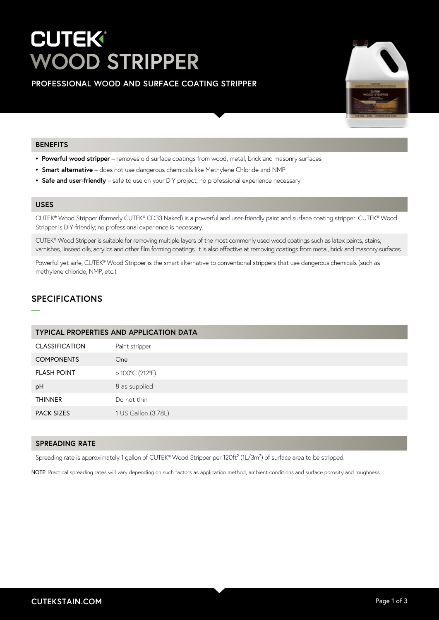# **CUTEK® WOOD STRIPPER**

**PROFESSIONAL WOOD AND SURFACE COATING STRIPPER**



## **BENEFITS**

- **• Powerful wood stripper** removes old surface coatings from wood, metal, brick and masonry surfaces
- **• Smart alternative**  does not use dangerous chemicals like Methylene Chloride and NMP
- **• Safe and user-friendly** safe to use on your DIY project; no professional experience necessary

## **USES**

**—**

CUTEK® Wood Stripper (formerly CUTEK® CD33 Naked) is a powerful and user-friendly paint and surface coating stripper. CUTEK® Wood Stripper is DIY-friendly; no professional experience is necessary.

CUTEK® Wood Stripper is suitable for removing multiple layers of the most commonly used wood coatings such as latex paints, stains, varnishes, linseed oils, acrylics and other film forming coatings. It is also effective at removing coatings from metal, brick and masonry surfaces.

Powerful yet safe, CUTEK® Wood Stripper is the smart alternative to conventional strippers that use dangerous chemicals (such as methylene chloride, NMP, etc.).

# **SPECIFICATIONS**

| <b>TYPICAL PROPERTIES AND APPLICATION DATA</b> |                          |  |
|------------------------------------------------|--------------------------|--|
| <b>CLASSIFICATION</b>                          | Paint stripper           |  |
| <b>COMPONENTS</b>                              | <b>One</b>               |  |
| <b>FLASH POINT</b>                             | $>100^{\circ}$ C (212°F) |  |
| pH                                             | 8 as supplied            |  |
| <b>THINNER</b>                                 | Do not thin              |  |
| <b>PACK SIZES</b>                              | 1 US Gallon (3.78L)      |  |
|                                                |                          |  |

#### **SPREADING RATE**

Spreading rate is approximately 1 gallon of CUTEK® Wood Stripper per 120ft<sup>2</sup> (1L/3m<sup>2</sup>) of surface area to be stripped.

NOTE: Practical spreading rates will vary depending on such factors as application method, ambient conditions and surface porosity and roughness.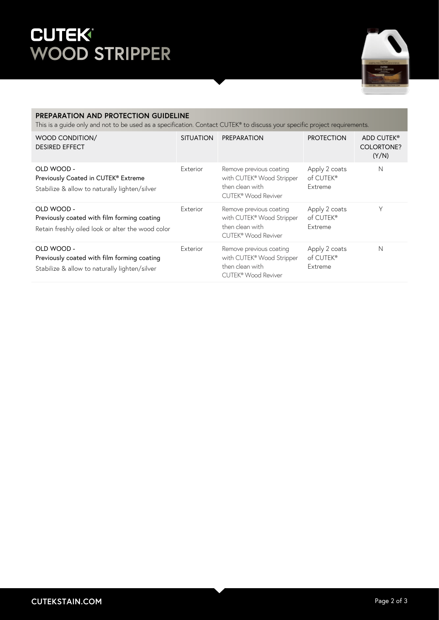# **WOOD STRIPPER**



# **PREPARATION AND PROTECTION GUIDELINE**

This is a guide only and not to be used as a specification. Contact CUTEK® to discuss your specific project requirements.

| WOOD CONDITION/<br><b>DESIRED EFFECT</b>                                                                       | <b>SITUATION</b> | PREPARATION                                                                                    | <b>PROTECTION</b>                     | ADD CUTEK®<br><b>COLORTONE?</b><br>(Y/N) |
|----------------------------------------------------------------------------------------------------------------|------------------|------------------------------------------------------------------------------------------------|---------------------------------------|------------------------------------------|
| OLD WOOD -<br>Previously Coated in CUTEK® Extreme<br>Stabilize & allow to naturally lighten/silver             | Exterior         | Remove previous coating<br>with CUTEK® Wood Stripper<br>then clean with<br>CUTEK® Wood Reviver | Apply 2 coats<br>of CUTEK®<br>Extreme | N                                        |
| OLD WOOD -<br>Previously coated with film forming coating<br>Retain freshly oiled look or alter the wood color | Exterior         | Remove previous coating<br>with CUTEK® Wood Stripper<br>then clean with<br>CUTEK® Wood Reviver | Apply 2 coats<br>of CUTEK®<br>Extreme | Υ                                        |
| OLD WOOD -<br>Previously coated with film forming coating<br>Stabilize & allow to naturally lighten/silver     | Exterior         | Remove previous coating<br>with CUTEK® Wood Stripper<br>then clean with<br>CUTEK® Wood Reviver | Apply 2 coats<br>of CUTEK®<br>Extreme | N                                        |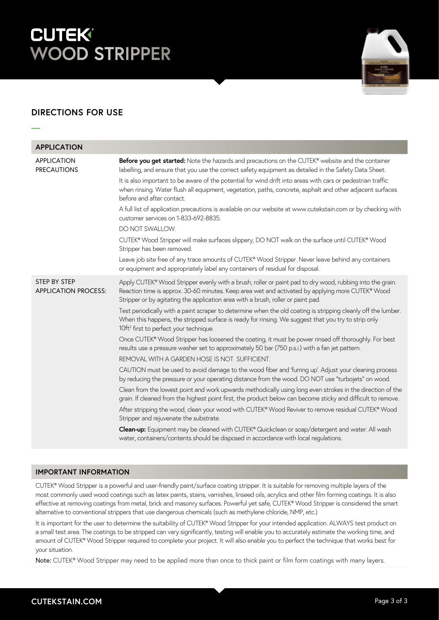# **CUTEK® WOOD STRIPPER**



# **DIRECTIONS FOR USE**

**—**

| <b>APPLICATION</b>                                 |                                                                                                                                                                                                                                                                                                  |
|----------------------------------------------------|--------------------------------------------------------------------------------------------------------------------------------------------------------------------------------------------------------------------------------------------------------------------------------------------------|
| <b>APPLICATION</b><br><b>PRECAUTIONS</b>           | Before you get started: Note the hazards and precautions on the CUTEK® website and the container<br>labelling, and ensure that you use the correct safety equipment as detailed in the Safety Data Sheet.                                                                                        |
|                                                    | It is also important to be aware of the potential for wind drift into areas with cars or pedestrian traffic<br>when rinsing. Water flush all equipment, vegetation, paths, concrete, asphalt and other adjacent surfaces<br>before and after contact.                                            |
|                                                    | A full list of application precautions is available on our website at www.cutekstain.com or by checking with<br>customer services on 1-833-692-8835.                                                                                                                                             |
|                                                    | DO NOT SWALLOW.                                                                                                                                                                                                                                                                                  |
|                                                    | CUTEK® Wood Stripper will make surfaces slippery, DO NOT walk on the surface until CUTEK® Wood<br>Stripper has been removed.                                                                                                                                                                     |
|                                                    | Leave job site free of any trace amounts of CUTEK® Wood Stripper. Never leave behind any containers<br>or equipment and appropriately label any containers of residual for disposal.                                                                                                             |
| <b>STEP BY STEP</b><br><b>APPLICATION PROCESS:</b> | Apply CUTEK® Wood Stripper evenly with a brush, roller or paint pad to dry wood, rubbing into the grain.<br>Reaction time is approx. 30-60 minutes. Keep area wet and activated by applying more CUTEK® Wood<br>Stripper or by agitating the application area with a brush, roller or paint pad. |
|                                                    | Test periodically with a paint scraper to determine when the old coating is stripping cleanly off the lumber.<br>When this happens, the stripped surface is ready for rinsing. We suggest that you try to strip only<br>10ft <sup>2</sup> first to perfect your technique.                       |
|                                                    | Once CUTEK® Wood Stripper has loosened the coating, it must be power rinsed off thoroughly. For best<br>results use a pressure washer set to approximately 50 bar (750 p.s.i.) with a fan jet pattern.                                                                                           |
|                                                    | REMOVAL WITH A GARDEN HOSE IS NOT SUFFICIENT.                                                                                                                                                                                                                                                    |
|                                                    | CAUTION must be used to avoid damage to the wood fiber and 'furring up'. Adjust your cleaning process<br>by reducing the pressure or your operating distance from the wood. DO NOT use "turbojets" on wood.                                                                                      |
|                                                    | Clean from the lowest point and work upwards methodically using long even strokes in the direction of the<br>grain. If cleaned from the highest point first, the product below can become sticky and difficult to remove.                                                                        |
|                                                    | After stripping the wood, clean your wood with CUTEK® Wood Reviver to remove residual CUTEK® Wood<br>Stripper and rejuvenate the substrate.                                                                                                                                                      |
|                                                    | Clean-up: Equipment may be cleaned with CUTEK® Quickclean or soap/detergent and water. All wash<br>water, containers/contents should be disposed in accordance with local regulations.                                                                                                           |

# **IMPORTANT INFORMATION**

CUTEK® Wood Stripper is a powerful and user-friendly paint/surface coating stripper. It is suitable for removing multiple layers of the most commonly used wood coatings such as latex paints, stains, varnishes, linseed oils, acrylics and other film forming coatings. It is also effective at removing coatings from metal, brick and masonry surfaces. Powerful yet safe, CUTEK® Wood Stripper is considered the smart alternative to conventional strippers that use dangerous chemicals (such as methylene chloride, NMP, etc.)

It is important for the user to determine the suitability of CUTEK® Wood Stripper for your intended application. ALWAYS test product on a small test area. The coatings to be stripped can vary significantly, testing will enable you to accurately estimate the working time, and amount of CUTEK® Wood Stripper required to complete your project. It will also enable you to perfect the technique that works best for your situation.

Note: CUTEK® Wood Stripper may need to be applied more than once to thick paint or film form coatings with many layers.